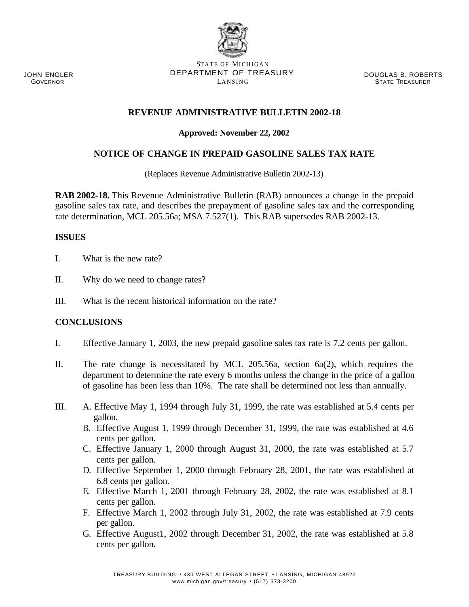#### JOHN ENGLER **GOVERNOR**

#### STATE OF MICHIGAN DEPARTMENT OF TREASURY LANSING

DOUGLAS B. ROBERTS STATE TREASURER

## **REVENUE ADMINISTRATIVE BULLETIN 2002-18**

### **Approved: November 22, 2002**

## **NOTICE OF CHANGE IN PREPAID GASOLINE SALES TAX RATE**

(Replaces Revenue Administrative Bulletin 2002-13)

**RAB 2002-18.** This Revenue Administrative Bulletin (RAB) announces a change in the prepaid gasoline sales tax rate, and describes the prepayment of gasoline sales tax and the corresponding rate determination, MCL 205.56a; MSA 7.527(1). This RAB supersedes RAB 2002-13.

### **ISSUES**

- I. What is the new rate?
- II. Why do we need to change rates?
- III. What is the recent historical information on the rate?

### **CONCLUSIONS**

- I. Effective January 1, 2003, the new prepaid gasoline sales tax rate is 7.2 cents per gallon.
- II. The rate change is necessitated by MCL 205.56a, section 6a(2), which requires the department to determine the rate every 6 months unless the change in the price of a gallon of gasoline has been less than 10%. The rate shall be determined not less than annually.
- III. A. Effective May 1, 1994 through July 31, 1999, the rate was established at 5.4 cents per gallon.
	- B. Effective August 1, 1999 through December 31, 1999, the rate was established at 4.6 cents per gallon.
	- C. Effective January 1, 2000 through August 31, 2000, the rate was established at 5.7 cents per gallon.
	- D. Effective September 1, 2000 through February 28, 2001, the rate was established at 6.8 cents per gallon.
	- E. Effective March 1, 2001 through February 28, 2002, the rate was established at 8.1 cents per gallon.
	- F. Effective March 1, 2002 through July 31, 2002, the rate was established at 7.9 cents per gallon.
	- G. Effective August1, 2002 through December 31, 2002, the rate was established at 5.8 cents per gallon.